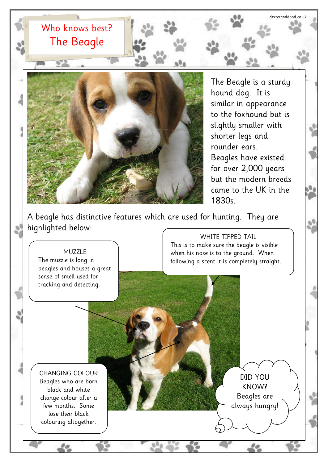SOMETHING A The Beagle Who knows best?



The Beagle is a sturdy hound dog. It is similar in appearance to the foxhound but is slightly smaller with shorter legs and rounder ears. Beagles have existed for over 2,000 years but the modern breeds came to the UK in the 1830s.

dexteranddood.co.uk

в9

A beagle has distinctive features which are used for hunting. They are highlighted below:

MUZZLE The muzzle is long in beagles and houses a great sense of smell used for tracking and detecting.

WHITE TIPPED TAIL This is to make sure the beagle is visible when his nose is to the ground. When following a scent it is completely straight.

CHANGING COLOUR Beagles who are born black and white change colour after a few months. Some lose their black colouring altogether.

DID YOU KNOW? Beagles are always hungry!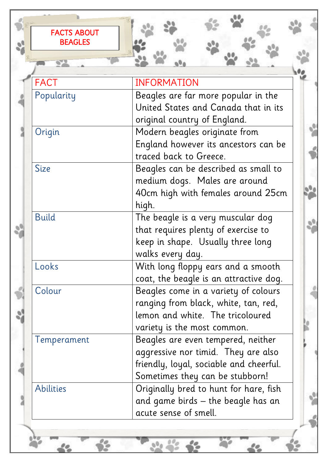| <b>FACTS ABOUT</b> |  |
|--------------------|--|
| <b>BEAGLES</b>     |  |

'n

 $6.5$ 

**of** 

些

 $\frac{2}{5}$ 

 $\sqrt{\frac{2}{n}}$ 

| <b>FACT</b>      | <b>INFORMATION</b>                      |
|------------------|-----------------------------------------|
| Popularity       | Beagles are far more popular in the     |
|                  | United States and Canada that in its    |
|                  | original country of England.            |
| Origin           | Modern beagles originate from           |
|                  | England however its ancestors can be    |
|                  | traced back to Greece.                  |
| <b>Size</b>      | Beagles can be described as small to    |
|                  | medium dogs. Males are around           |
|                  | 40cm high with females around 25cm      |
|                  | high.                                   |
| <b>Build</b>     | The beagle is a very muscular dog       |
|                  | that requires plenty of exercise to     |
|                  | keep in shape. Usually three long       |
|                  | walks every day.                        |
| Looks            | With long floppy ears and a smooth      |
|                  | coat, the beagle is an attractive dog.  |
| Colour           | Beagles come in a variety of colours    |
|                  | ranging from black, white, tan, red,    |
|                  | lemon and white. The tricoloured        |
|                  | variety is the most common.             |
| Temperament      | Beagles are even tempered, neither      |
|                  | aggressive nor timid. They are also     |
|                  | friendly, loyal, sociable and cheerful. |
|                  | Sometimes they can be stubborn!         |
| <b>Abilities</b> | Originally bred to hunt for hare, fish  |
|                  | and game birds - the beagle has an      |
|                  | acute sense of smell.                   |

 $10 - 10$ 

 $\frac{1}{2}$ 

 $\frac{1}{2}$ 

ಀ

 $\frac{1}{2}$ 

 $\leq$ 

 $0<sub>0</sub>$ 

 $\frac{6}{2}$ 

 $00<sub>o</sub>$ 

 $a^0$ a

90

ä

 $\mathfrak{a}^{\mathfrak{g}}$ 

e<br>Se

re<br>D

 $\mathcal{L}$ 

 $\mathcal{C}_\theta$ 

۵ı

 $\frac{1}{2}$ 

 $00$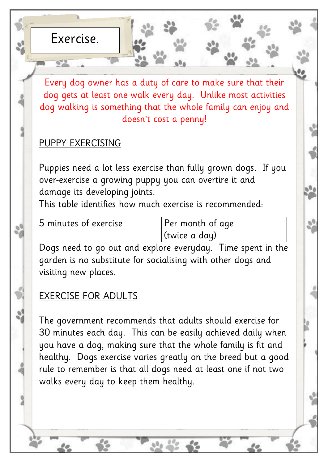Evorcico Exercise.

Every dog owner has a duty of care to make sure that their dog gets at least one walk every day. Unlike most activities dog walking is something that the whole family can enjoy and doesn't cost a penny!

## PUPPY EXERCISING

Puppies need a lot less exercise than fully grown dogs. If you over-exercise a growing puppy you can overtire it and damage its developing joints.

This table identifies how much exercise is recommended:

 $5$  minutes of exercise  $|Per$  month of age

(twice a day)

Dogs need to go out and explore everyday. Time spent in the garden is no substitute for socialising with other dogs and visiting new places.

## EXERCISE FOR ADULTS

The government recommends that adults should exercise for 30 minutes each day. This can be easily achieved daily when you have a dog, making sure that the whole family is fit and healthy. Dogs exercise varies greatly on the breed but a good rule to remember is that all dogs need at least one if not two walks every day to keep them healthy.